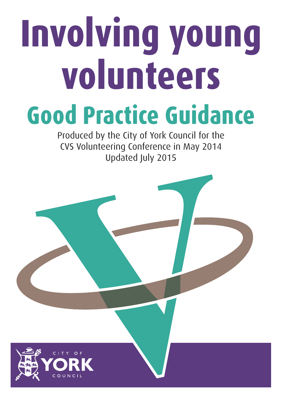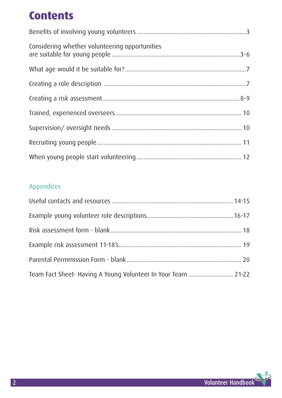## **Contents**

| Considering whether volunteering opportunities |
|------------------------------------------------|
|                                                |
|                                                |
|                                                |
|                                                |
|                                                |
|                                                |
|                                                |

### Appendices

| Team Fact Sheet- Having A Young Volunteer In Your Team  21-22 |  |
|---------------------------------------------------------------|--|

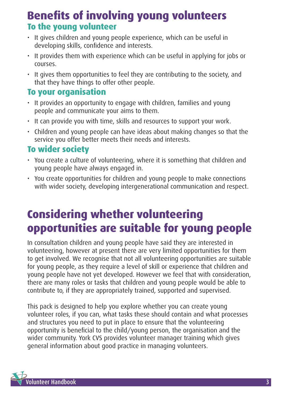## **Benefits of involving young volunteers To the young volunteer**

- It gives children and young people experience, which can be useful in developing skills, confidence and interests.
- It provides them with experience which can be useful in applying for jobs or courses.
- It gives them opportunities to feel they are contributing to the society, and that they have things to offer other people.

### **To your organisation**

- It provides an opportunity to engage with children, families and young people and communicate your aims to them.
- It can provide you with time, skills and resources to support your work.
- Children and young people can have ideas about making changes so that the service you offer better meets their needs and interests.

### **To wider society**

- You create a culture of volunteering, where it is something that children and young people have always engaged in.
- You create opportunities for children and young people to make connections with wider society, developing intergenerational communication and respect.

## **Considering whether volunteering opportunities are suitable for young people**

In consultation children and young people have said they are interested in volunteering, however at present there are very limited opportunities for them to get involved. We recognise that not all volunteering opportunities are suitable for young people, as they require a level of skill or experience that children and young people have not yet developed. However we feel that with consideration, there are many roles or tasks that children and young people would be able to contribute to, if they are appropriately trained, supported and supervised.

This pack is designed to help you explore whether you can create young volunteer roles, if you can, what tasks these should contain and what processes and structures you need to put in place to ensure that the volunteering opportunity is beneficial to the child/young person, the organisation and the wider community. York CVS provides volunteer manager training which gives general information about good practice in managing volunteers.

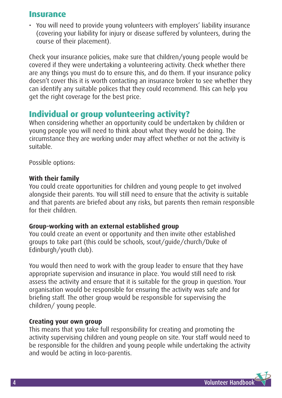### **Insurance**

• You will need to provide young volunteers with employers' liability insurance (covering your liability for injury or disease suffered by volunteers, during the course of their placement).

Check your insurance policies, make sure that children/young people would be covered if they were undertaking a volunteering activity. Check whether there are any things you must do to ensure this, and do them. If your insurance policy doesn't cover this it is worth contacting an insurance broker to see whether they can identify any suitable polices that they could recommend. This can help you get the right coverage for the best price.

### **Individual or group volunteering activity?**

When considering whether an opportunity could be undertaken by children or young people you will need to think about what they would be doing. The circumstance they are working under may affect whether or not the activity is suitable.

Possible options:

#### **With their family**

You could create opportunities for children and young people to get involved alongside their parents. You will still need to ensure that the activity is suitable and that parents are briefed about any risks, but parents then remain responsible for their children.

### **Group-working with an external established group**

You could create an event or opportunity and then invite other established groups to take part (this could be schools, scout/guide/church/Duke of Edinburgh/youth club).

You would then need to work with the group leader to ensure that they have appropriate supervision and insurance in place. You would still need to risk assess the activity and ensure that it is suitable for the group in question. Your organisation would be responsible for ensuring the activity was safe and for briefing staff. The other group would be responsible for supervising the children/ young people.

### **Creating your own group**

This means that you take full responsibility for creating and promoting the activity supervising children and young people on site. Your staff would need to be responsible for the children and young people while undertaking the activity and would be acting in loco-parentis.

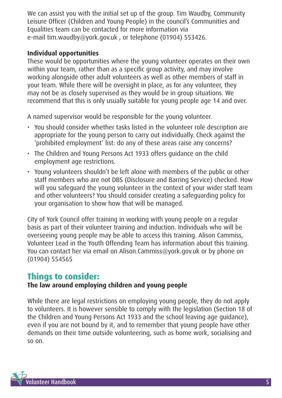We can assist you with the initial set up of the group. Tim Waudby, Community Leisure Officer (Children and Young People) in the council's Communities and Equalities team can be contacted for more information via e-mail tim.waudby@york.gov.uk , or telephone (01904) 553426.

#### **Individual opportunities**

These would be opportunities where the young volunteer operates on their own within your team, rather than as a specific group activity, and may involve working alongside other adult volunteers as well as other members of staff in your team. While there will be oversight in place, as for any volunteer, they may not be as closely supervised as they would be in group situations. We recommend that this is only usually suitable for young people age 14 and over.

A named supervisor would be responsible for the young volunteer.

- You should consider whether tasks listed in the volunteer role description are appropriate for the young person to carry out individually. Check against the 'prohibited employment' list: do any of these areas raise any concerns?
- The Children and Young Persons Act 1933 offers guidance on the child employment age restrictions.
- Young volunteers shouldn't be left alone with members of the public or other staff members who are not DBS (Disclosure and Barring Service) checked. How will you safeguard the young volunteer in the context of your wider staff team and other volunteers? You should consider creating a safeguarding policy for your organisation to show how that will be managed.

City of York Council offer training in working with young people on a regular basis as part of their volunteer training and induction. Individuals who will be overseeing young people may be able to access this training. Alison Cammiss, Volunteer Lead in the Youth Offending Team has information about this training. You can contact her via email on Alison.Cammiss@york.gov.uk or by phone on (01904) 554565

### **Things to consider:**

### **The law around employing children and young people**

While there are legal restrictions on employing young people, they do not apply to volunteers. It is however sensible to comply with the legislation (Section 18 of the Children and Young Persons Act 1933 and the school leaving age guidance), even if you are not bound by it, and to remember that young people have other demands on their time outside volunteering, such as home work, socialising and so on.

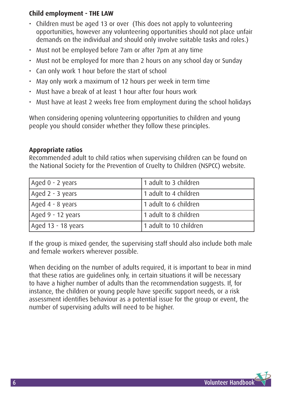### **Child employment - THE LAW**

- Children must be aged 13 or over (This does not apply to volunteering opportunities, however any volunteering opportunities should not place unfair demands on the individual and should only involve suitable tasks and roles.)
- Must not be employed before 7am or after 7pm at any time
- Must not be employed for more than 2 hours on any school day or Sunday
- Can only work 1 hour before the start of school
- May only work a maximum of 12 hours per week in term time
- Must have a break of at least 1 hour after four hours work
- Must have at least 2 weeks free from employment during the school holidays

When considering opening volunteering opportunities to children and young people you should consider whether they follow these principles.

#### **Appropriate ratios**

Recommended adult to child ratios when supervising children can be found on the National Society for the Prevention of Cruelty to Children (NSPCC) website.

| Aged 0 - 2 years   | 1 adult to 3 children  |
|--------------------|------------------------|
| Aged 2 - 3 years   | 1 adult to 4 children  |
| Aged 4 - 8 years   | 1 adult to 6 children  |
| Aged 9 - 12 years  | 1 adult to 8 children  |
| Aged 13 - 18 years | 1 adult to 10 children |

If the group is mixed gender, the supervising staff should also include both male and female workers wherever possible.

When deciding on the number of adults required, it is important to bear in mind that these ratios are guidelines only, in certain situations it will be necessary to have a higher number of adults than the recommendation suggests. If, for instance, the children or young people have specific support needs, or a risk assessment identifies behaviour as a potential issue for the group or event, the number of supervising adults will need to be higher.

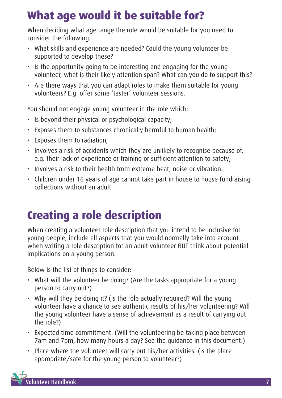## **What age would it be suitable for?**

When deciding what age range the role would be suitable for you need to consider the following:

- What skills and experience are needed? Could the young volunteer be supported to develop these?
- Is the opportunity going to be interesting and engaging for the young volunteer, what is their likely attention span? What can you do to support this?
- Are there ways that you can adapt roles to make them suitable for young volunteers? E.g. offer some 'taster' volunteer sessions.

You should not engage young volunteer in the role which:

- Is beyond their physical or psychological capacity;
- Exposes them to substances chronically harmful to human health;
- Exposes them to radiation;
- Involves a risk of accidents which they are unlikely to recognise because of, e.g. their lack of experience or training or sufficient attention to safety;
- Involves a risk to their health from extreme heat, noise or vibration.
- Children under 16 years of age cannot take part in house to house fundraising collections without an adult.

# **Creating a role description**

When creating a volunteer role description that you intend to be inclusive for young people, include all aspects that you would normally take into account when writing a role description for an adult volunteer BUT think about potential implications on a young person.

Below is the list of things to consider:

- What will the volunteer be doing? (Are the tasks appropriate for a young person to carry out?)
- Why will they be doing it? (Is the role actually required? Will the young volunteer have a chance to see authentic results of his/her volunteering? Will the young volunteer have a sense of achievement as a result of carrying out the role?)
- Expected time commitment. (Will the volunteering be taking place between 7am and 7pm, how many hours a day? See the guidance in this document.)
- Place where the volunteer will carry out his/her activities. (Is the place appropriate/safe for the young person to volunteer?)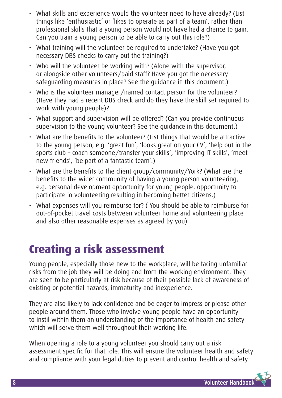- What skills and experience would the volunteer need to have already? (List things like 'enthusiastic' or 'likes to operate as part of a team', rather than professional skills that a young person would not have had a chance to gain. Can you train a young person to be able to carry out this role?)
- What training will the volunteer be required to undertake? (Have you got necessary DBS checks to carry out the training?)
- Who will the volunteer be working with? (Alone with the supervisor, or alongside other volunteers/paid staff? Have you got the necessary safeguarding measures in place? See the guidance in this document.)
- Who is the volunteer manager/named contact person for the volunteer? (Have they had a recent DBS check and do they have the skill set required to work with young people)?
- What support and supervision will be offered? (Can you provide continuous supervision to the young volunteer? See the guidance in this document.)
- What are the benefits to the volunteer? (List things that would be attractive to the young person, e.g. 'great fun', 'looks great on your CV', 'help out in the sports club – coach someone/transfer your skills', 'improving IT skills', 'meet new friends', 'be part of a fantastic team'.)
- What are the benefits to the client group/community/York? (What are the benefits to the wider community of having a young person volunteering, e.g. personal development opportunity for young people, opportunity to participate in volunteering resulting in becoming better citizens.)
- What expenses will you reimburse for? ( You should be able to reimburse for out-of-pocket travel costs between volunteer home and volunteering place and also other reasonable expenses as agreed by you)

# **Creating a risk assessment**

Young people, especially those new to the workplace, will be facing unfamiliar risks from the job they will be doing and from the working environment. They are seen to be particularly at risk because of their possible lack of awareness of existing or potential hazards, immaturity and inexperience.

They are also likely to lack confidence and be eager to impress or please other people around them. Those who involve young people have an opportunity to instil within them an understanding of the importance of health and safety which will serve them well throughout their working life.

When opening a role to a young volunteer you should carry out a risk assessment specific for that role. This will ensure the volunteer health and safety and compliance with your legal duties to prevent and control health and safety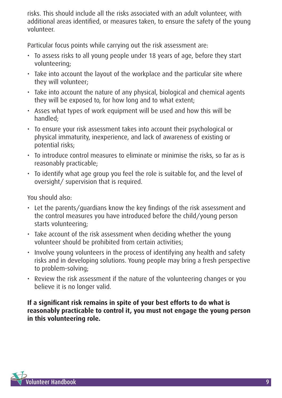risks. This should include all the risks associated with an adult volunteer, with additional areas identified, or measures taken, to ensure the safety of the young volunteer.

Particular focus points while carrying out the risk assessment are:

- To assess risks to all young people under 18 years of age, before they start volunteering;
- Take into account the layout of the workplace and the particular site where they will volunteer;
- Take into account the nature of any physical, biological and chemical agents they will be exposed to, for how long and to what extent;
- Asses what types of work equipment will be used and how this will be handled;
- To ensure your risk assessment takes into account their psychological or physical immaturity, inexperience, and lack of awareness of existing or potential risks;
- To introduce control measures to eliminate or minimise the risks, so far as is reasonably practicable;
- To identify what age group you feel the role is suitable for, and the level of oversight/ supervision that is required.

You should also:

- Let the parents/guardians know the key findings of the risk assessment and the control measures you have introduced before the child/young person starts volunteering;
- Take account of the risk assessment when deciding whether the young volunteer should be prohibited from certain activities;
- Involve young volunteers in the process of identifying any health and safety risks and in developing solutions. Young people may bring a fresh perspective to problem-solving;
- Review the risk assessment if the nature of the volunteering changes or you believe it is no longer valid.

**If a significant risk remains in spite of your best efforts to do what is reasonably practicable to control it, you must not engage the young person in this volunteering role.**

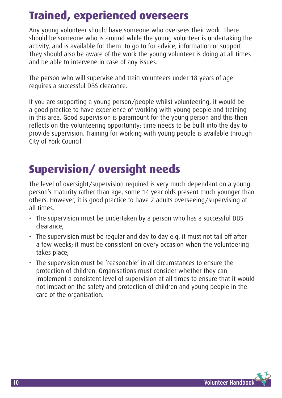## **Trained, experienced overseers**

Any young volunteer should have someone who oversees their work. There should be someone who is around while the young volunteer is undertaking the activity, and is available for them to go to for advice, information or support. They should also be aware of the work the young volunteer is doing at all times and be able to intervene in case of any issues.

The person who will supervise and train volunteers under 18 years of age requires a successful DBS clearance.

If you are supporting a young person/people whilst volunteering, it would be a good practice to have experience of working with young people and training in this area. Good supervision is paramount for the young person and this then reflects on the volunteering opportunity; time needs to be built into the day to provide supervision. Training for working with young people is available through City of York Council.

# **Supervision/ oversight needs**

The level of oversight/supervision required is very much dependant on a young person's maturity rather than age, some 14 year olds present much younger than others. However, it is good practice to have 2 adults overseeing/supervising at all times.

- The supervision must be undertaken by a person who has a successful DBS clearance;
- The supervision must be regular and day to day e.g. it must not tail off after a few weeks; it must be consistent on every occasion when the volunteering takes place;
- The supervision must be 'reasonable' in all circumstances to ensure the protection of children. Organisations must consider whether they can implement a consistent level of supervision at all times to ensure that it would not impact on the safety and protection of children and young people in the care of the organisation.

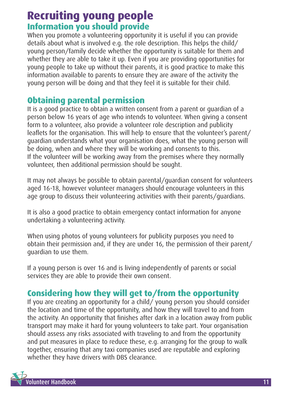## **Recruiting young people Information you should provide**

When you promote a volunteering opportunity it is useful if you can provide details about what is involved e.g. the role description. This helps the child/ young person/family decide whether the opportunity is suitable for them and whether they are able to take it up. Even if you are providing opportunities for young people to take up without their parents, it is good practice to make this information available to parents to ensure they are aware of the activity the young person will be doing and that they feel it is suitable for their child.

### **Obtaining parental permission**

It is a good practice to obtain a written consent from a parent or guardian of a person below 16 years of age who intends to volunteer. When giving a consent form to a volunteer, also provide a volunteer role description and publicity leaflets for the organisation. This will help to ensure that the volunteer's parent/ guardian understands what your organisation does, what the young person will be doing, when and where they will be working and consents to this. If the volunteer will be working away from the premises where they normally volunteer, then additional permission should be sought.

It may not always be possible to obtain parental/guardian consent for volunteers aged 16-18, however volunteer managers should encourage volunteers in this age group to discuss their volunteering activities with their parents/guardians.

It is also a good practice to obtain emergency contact information for anyone undertaking a volunteering activity.

When using photos of young volunteers for publicity purposes you need to obtain their permission and, if they are under 16, the permission of their parent/ guardian to use them.

If a young person is over 16 and is living independently of parents or social services they are able to provide their own consent.

## **Considering how they will get to/from the opportunity**

If you are creating an opportunity for a child  $\overline{I}$  young person you should consider the location and time of the opportunity, and how they will travel to and from the activity. An opportunity that finishes after dark in a location away from public transport may make it hard for young volunteers to take part. Your organisation should assess any risks associated with traveling to and from the opportunity and put measures in place to reduce these, e.g. arranging for the group to walk together, ensuring that any taxi companies used are reputable and exploring whether they have drivers with DBS clearance.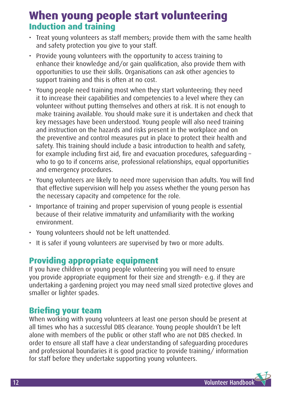## **When young people start volunteering Induction and training**

- Treat young volunteers as staff members; provide them with the same health and safety protection you give to your staff.
- Provide young volunteers with the opportunity to access training to enhance their knowledge and/or gain qualification, also provide them with opportunities to use their skills. Organisations can ask other agencies to support training and this is often at no cost.
- Young people need training most when they start volunteering; they need it to increase their capabilities and competencies to a level where they can volunteer without putting themselves and others at risk. It is not enough to make training available. You should make sure it is undertaken and check that key messages have been understood. Young people will also need training and instruction on the hazards and risks present in the workplace and on the preventive and control measures put in place to protect their health and safety. This training should include a basic introduction to health and safety, for example including first aid, fire and evacuation procedures, safeguarding – who to go to if concerns arise, professional relationships, equal opportunities and emergency procedures.
- Young volunteers are likely to need more supervision than adults. You will find that effective supervision will help you assess whether the young person has the necessary capacity and competence for the role.
- Importance of training and proper supervision of young people is essential because of their relative immaturity and unfamiliarity with the working environment.
- Young volunteers should not be left unattended.
- It is safer if young volunteers are supervised by two or more adults.

### **Providing appropriate equipment**

If you have children or young people volunteering you will need to ensure you provide appropriate equipment for their size and strength- e.g. if they are undertaking a gardening project you may need small sized protective gloves and smaller or lighter spades.

### **Briefing your team**

When working with young volunteers at least one person should be present at all times who has a successful DBS clearance. Young people shouldn't be left alone with members of the public or other staff who are not DBS checked. In order to ensure all staff have a clear understanding of safeguarding procedures and professional boundaries it is good practice to provide training/ information for staff before they undertake supporting young volunteers.

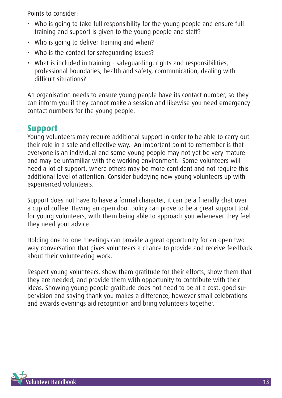Points to consider:

- Who is going to take full responsibility for the young people and ensure full training and support is given to the young people and staff?
- Who is going to deliver training and when?
- Who is the contact for safeguarding issues?
- What is included in training safeguarding, rights and responsibilities, professional boundaries, health and safety, communication, dealing with difficult situations?

An organisation needs to ensure young people have its contact number, so they can inform you if they cannot make a session and likewise you need emergency contact numbers for the young people.

### **Support**

Young volunteers may require additional support in order to be able to carry out their role in a safe and effective way. An important point to remember is that everyone is an individual and some young people may not yet be very mature and may be unfamiliar with the working environment. Some volunteers will need a lot of support, where others may be more confident and not require this additional level of attention. Consider buddying new young volunteers up with experienced volunteers.

Support does not have to have a formal character, it can be a friendly chat over a cup of coffee. Having an open door policy can prove to be a great support tool for young volunteers, with them being able to approach you whenever they feel they need your advice.

Holding one-to-one meetings can provide a great opportunity for an open two way conversation that gives volunteers a chance to provide and receive feedback about their volunteering work.

Respect young volunteers, show them gratitude for their efforts, show them that they are needed, and provide them with opportunity to contribute with their ideas. Showing young people gratitude does not need to be at a cost, good supervision and saying thank you makes a difference, however small celebrations and awards evenings aid recognition and bring volunteers together.

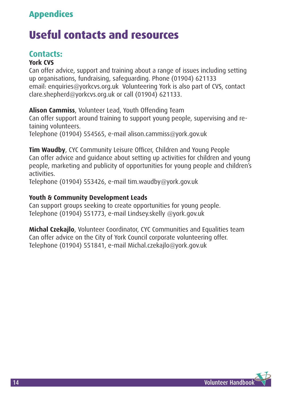## **Appendices**

## **Useful contacts and resources**

### **Contacts:**

#### **York CVS**

Can offer advice, support and training about a range of issues including setting up organisations, fundraising, safeguarding. Phone (01904) 621133 email: enquiries@yorkcvs.org.uk Volunteering York is also part of CVS, contact clare.shepherd@yorkcvs.org.uk or call (01904) 621133.

**Alison Cammiss**, Volunteer Lead, Youth Offending Team

Can offer support around training to support young people, supervising and retaining volunteers.

Telephone (01904) 554565, e-mail alison.cammiss@york.gov.uk

**Tim Waudby**, CYC Community Leisure Officer, Children and Young People Can offer advice and guidance about setting up activities for children and young people, marketing and publicity of opportunities for young people and children's activities.

Telephone (01904) 553426, e-mail tim.waudby@york.gov.uk

#### **Youth & Community Development Leads**

Can support groups seeking to create opportunities for young people. Telephone (01904) 551773, e-mail Lindsey.skelly @york.gov.uk

**Michal Czekajlo**, Volunteer Coordinator, CYC Communities and Equalities team Can offer advice on the City of York Council corporate volunteering offer. Telephone (01904) 551841, e-mail Michal.czekajlo@york.gov.uk

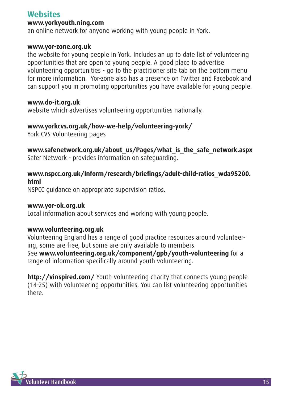### **Websites**

#### **www.yorkyouth.ning.com**

an online network for anyone working with young people in York.

#### **www.yor-zone.org.uk**

the website for young people in York. Includes an up to date list of volunteering opportunities that are open to young people. A good place to advertise volunteering opportunities - go to the practitioner site tab on the bottom menu for more information. Yor-zone also has a presence on Twitter and Facebook and can support you in promoting opportunities you have available for young people.

#### **www.do-it.org.uk**

website which advertises volunteering opportunities nationally.

#### **www.yorkcvs.org.uk/how-we-help/volunteering-york/**

York CVS Volunteering pages

### **www.safenetwork.org.uk/about\_us/Pages/what\_is\_the\_safe\_network.aspx**

Safer Network - provides information on safeguarding.

### **www.nspcc.org.uk/Inform/research/briefings/adult-child-ratios\_wda95200. html**

NSPCC guidance on appropriate supervision ratios.

#### **www.yor-ok.org.uk**

Local information about services and working with young people.

#### **www.volunteering.org.uk**

Volunteering England has a range of good practice resources around volunteering, some are free, but some are only available to members.

See **www.volunteering.org.uk/component/gpb/youth-volunteering** for a range of information specifically around youth volunteering.

**http://vinspired.com/** Youth volunteering charity that connects young people (14-25) with volunteering opportunities. You can list volunteering opportunities there.

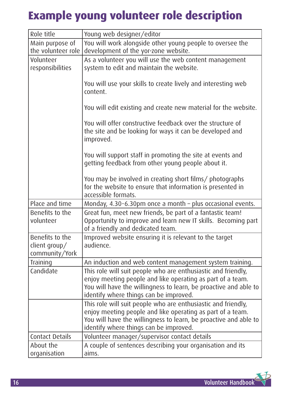# **Example young volunteer role description**

| Role title                                         | Young web designer/editor                                                                                                                                                                                                                 |
|----------------------------------------------------|-------------------------------------------------------------------------------------------------------------------------------------------------------------------------------------------------------------------------------------------|
| Main purpose of<br>the volunteer role              | You will work alongside other young people to oversee the<br>development of the yor-zone website.                                                                                                                                         |
| Volunteer<br>responsibilities                      | As a volunteer you will use the web content management<br>system to edit and maintain the website.                                                                                                                                        |
|                                                    | You will use your skills to create lively and interesting web<br>content.                                                                                                                                                                 |
|                                                    | You will edit existing and create new material for the website.                                                                                                                                                                           |
|                                                    | You will offer constructive feedback over the structure of<br>the site and be looking for ways it can be developed and<br>improved.                                                                                                       |
|                                                    | You will support staff in promoting the site at events and<br>getting feedback from other young people about it.                                                                                                                          |
|                                                    | You may be involved in creating short films/ photographs<br>for the website to ensure that information is presented in<br>accessible formats.                                                                                             |
| Place and time                                     | Monday, 4.30-6.30pm once a month - plus occasional events.                                                                                                                                                                                |
| Benefits to the<br>volunteer                       | Great fun, meet new friends, be part of a fantastic team!<br>Opportunity to improve and learn new IT skills. Becoming part<br>of a friendly and dedicated team.                                                                           |
| Benefits to the<br>client group/<br>community/York | Improved website ensuring it is relevant to the target<br>audience.                                                                                                                                                                       |
| Training                                           | An induction and web content management system training.                                                                                                                                                                                  |
| Candidate                                          | This role will suit people who are enthusiastic and friendly,<br>enjoy meeting people and like operating as part of a team.<br>You will have the willingness to learn, be proactive and able to<br>identify where things can be improved. |
|                                                    | This role will suit people who are enthusiastic and friendly,<br>enjoy meeting people and like operating as part of a team.<br>You will have the willingness to learn, be proactive and able to<br>identify where things can be improved. |
| <b>Contact Details</b>                             | Volunteer manager/supervisor contact details                                                                                                                                                                                              |
| About the<br>organisation                          | A couple of sentences describing your organisation and its<br>aims.                                                                                                                                                                       |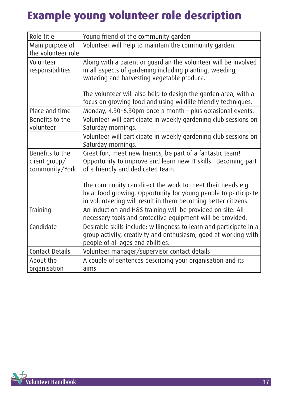# **Example young volunteer role description**

| Role title                                         | Young friend of the community garden                                                                                                                                                           |
|----------------------------------------------------|------------------------------------------------------------------------------------------------------------------------------------------------------------------------------------------------|
| Main purpose of<br>the volunteer role              | Volunteer will help to maintain the community garden.                                                                                                                                          |
| Volunteer<br>responsibilities                      | Along with a parent or guardian the volunteer will be involved<br>in all aspects of gardening including planting, weeding,<br>watering and harvesting vegetable produce.                       |
|                                                    | The volunteer will also help to design the garden area, with a<br>focus on growing food and using wildlife friendly techniques.                                                                |
| Place and time                                     | Monday, 4.30-6.30pm once a month - plus occasional events.                                                                                                                                     |
| Benefits to the<br>volunteer                       | Volunteer will participate in weekly gardening club sessions on<br>Saturday mornings.                                                                                                          |
|                                                    | Volunteer will participate in weekly gardening club sessions on<br>Saturday mornings.                                                                                                          |
| Benefits to the<br>client group/<br>community/York | Great fun, meet new friends, be part of a fantastic team!<br>Opportunity to improve and learn new IT skills. Becoming part<br>of a friendly and dedicated team.                                |
|                                                    | The community can direct the work to meet their needs e.g.<br>local food growing. Opportunity for young people to participate<br>in volunteering will result in them becoming better citizens. |
| Training                                           | An induction and H&S training will be provided on site. All<br>necessary tools and protective equipment will be provided.                                                                      |
| Candidate                                          | Desirable skills include: willingness to learn and participate in a<br>group activity, creativity and enthusiasm, good at working with<br>people of all ages and abilities.                    |
| <b>Contact Details</b>                             | Volunteer manager/supervisor contact details                                                                                                                                                   |
| About the<br>organisation                          | A couple of sentences describing your organisation and its<br>aims.                                                                                                                            |

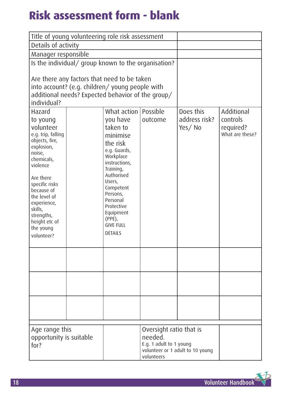# **Risk assessment form - blank**

|                                                                                                                                                                                                                                                                            | Title of young volunteering role risk assessment                                                                                                                                                                                                                             |                                                                             |                                      |                                                        |
|----------------------------------------------------------------------------------------------------------------------------------------------------------------------------------------------------------------------------------------------------------------------------|------------------------------------------------------------------------------------------------------------------------------------------------------------------------------------------------------------------------------------------------------------------------------|-----------------------------------------------------------------------------|--------------------------------------|--------------------------------------------------------|
| Details of activity                                                                                                                                                                                                                                                        |                                                                                                                                                                                                                                                                              |                                                                             |                                      |                                                        |
| Manager responsible                                                                                                                                                                                                                                                        |                                                                                                                                                                                                                                                                              |                                                                             |                                      |                                                        |
|                                                                                                                                                                                                                                                                            | Is the individual/ group known to the organisation?                                                                                                                                                                                                                          |                                                                             |                                      |                                                        |
| individual?                                                                                                                                                                                                                                                                | Are there any factors that need to be taken<br>into account? (e.g. children/young people with<br>additional needs? Expected behavior of the group/                                                                                                                           |                                                                             |                                      |                                                        |
| Hazard<br>to young<br>volunteer<br>e.g. trip, falling<br>objects, fire,<br>explosion,<br>noise,<br>chemicals,<br>violence<br>Are there<br>specific risks<br>because of<br>the level of<br>experience,<br>skills,<br>strengths,<br>height etc of<br>the young<br>volunteer? | What action   Possible<br>you have<br>taken to<br>minimise<br>the risk<br>e.g. Guards,<br>Workplace<br>instructions,<br>Training,<br>Authorised<br>Users,<br>Competent<br>Persons,<br>Personal<br>Protective<br>Equipment<br>$(PPE)$ ,<br><b>GIVE FULL</b><br><b>DETAILS</b> | outcome                                                                     | Does this<br>address risk?<br>Yes/No | Additional<br>controls<br>required?<br>What are these? |
|                                                                                                                                                                                                                                                                            |                                                                                                                                                                                                                                                                              |                                                                             |                                      |                                                        |
| Age range this<br>opportunity is suitable<br>for?                                                                                                                                                                                                                          |                                                                                                                                                                                                                                                                              | Oversight ratio that is<br>needed.<br>E.g. 1 adult to 1 young<br>volunteers | volunteer or 1 adult to 10 young     |                                                        |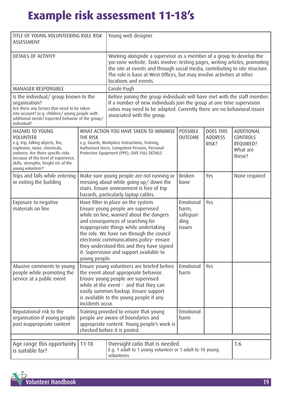# **Example risk assessment 11-18's**

| TITLE OF YOUNG VOLUNTEERING ROLE RISK<br>ASSESSMENT                                                                                                                                                                                               |                                                                                                                                                                                                                                                                                                                                                                                                        | Young web designer                                                                                                                                                                                                                                                                                                                    |                                                   |                                             |                                                                  |
|---------------------------------------------------------------------------------------------------------------------------------------------------------------------------------------------------------------------------------------------------|--------------------------------------------------------------------------------------------------------------------------------------------------------------------------------------------------------------------------------------------------------------------------------------------------------------------------------------------------------------------------------------------------------|---------------------------------------------------------------------------------------------------------------------------------------------------------------------------------------------------------------------------------------------------------------------------------------------------------------------------------------|---------------------------------------------------|---------------------------------------------|------------------------------------------------------------------|
| DETAILS OF ACTIVITY                                                                                                                                                                                                                               |                                                                                                                                                                                                                                                                                                                                                                                                        | Working alongside a supervisor as a member of a group to develop the<br>yor-zone website. Tasks involve: testing pages, writing articles, promoting<br>the site at events and through social media, contributing to site structure.<br>The role is base at West Offices, but may involve activities at other<br>locations and events. |                                                   |                                             |                                                                  |
| <b>MANAGER RESPONSIBLE</b>                                                                                                                                                                                                                        |                                                                                                                                                                                                                                                                                                                                                                                                        | Carole Pugh                                                                                                                                                                                                                                                                                                                           |                                                   |                                             |                                                                  |
| Is the individual/ group known to the<br>organisation?<br>Are there any factors that need to be taken<br>into account? (e.g. children/young people with<br>additional needs? Expected behavior of the group/<br>individual?                       |                                                                                                                                                                                                                                                                                                                                                                                                        | Before joining the group individuals will have met with the staff member.<br>If a number of new individuals join the group at one time supervision<br>ratios may need to be adapted. Currently there are no behavioral issues<br>associated with the group.                                                                           |                                                   |                                             |                                                                  |
| HAZARD TO YOUNG<br><b>VOLUNTEER</b><br>e.g. trip, falling objects, fire,<br>explosion, noise, chemicals,<br>violence. Are there specific risks<br>because of the level of experience,<br>skills, strengths, height etc of the<br>young volunteer? | THE RISK                                                                                                                                                                                                                                                                                                                                                                                               | WHAT ACTION YOU HAVE TAKEN TO MINIMISE<br>e.g. Guards, Workplace Instructions, Training,<br>Authorised Users, Competent Persons, Personal<br>Protective Equipment (PPE), GIVE FULL DETAILS                                                                                                                                            | <b>POSSIBLE</b><br><b>OUTCOME</b>                 | <b>DOES THIS</b><br><b>ADDRESS</b><br>RISK? | ADDITIONAL<br><b>CONTROLS</b><br>REQUIRED?<br>What are<br>these? |
| Trips and falls while entering<br>or exiting the building                                                                                                                                                                                         | Make sure young people are not running or<br>messing about while going up/ down the<br>stairs. Ensure environment is free of trip<br>hazards, particularly laptop cables.                                                                                                                                                                                                                              |                                                                                                                                                                                                                                                                                                                                       | Broken<br>bone                                    | Yes                                         | None required                                                    |
| Exposure to negative<br>materials on line                                                                                                                                                                                                         | Have filter in place on the system.<br>Ensure young people are supervised<br>while on line, warned about the dangers<br>and consequences of searching for<br>inappropriate things while undertaking<br>the role. We have run through the council<br>electronic communications policy- ensure<br>they understood this and they have signed<br>it. Supervision and support available to<br>young people. |                                                                                                                                                                                                                                                                                                                                       | Emotional<br>harm,<br>safeguar-<br>ding<br>issues | Yes                                         |                                                                  |
| Abusive comments to young<br>people while promoting the<br>service at a public event                                                                                                                                                              | Ensure young volunteers are briefed before<br>the event about appropriate behavior.<br>Ensure young people are supervised<br>while at the event - and that they can<br>easily summon backup. Ensure support<br>is available to the young people if any<br>incidents occur.                                                                                                                             |                                                                                                                                                                                                                                                                                                                                       | Emotional<br>harm                                 | Yes                                         |                                                                  |
| Reputational risk to the<br>organisation if young people<br>post inappropriate content                                                                                                                                                            |                                                                                                                                                                                                                                                                                                                                                                                                        | Training provided to ensure that young<br>people are aware of boundaries and<br>appropriate content. Young people's work is<br>checked before it is posted.                                                                                                                                                                           |                                                   |                                             |                                                                  |
| Age range this opportunity<br>is suitable for?                                                                                                                                                                                                    | $11 - 18$                                                                                                                                                                                                                                                                                                                                                                                              | Oversight ratio that is needed.<br>E.g. 1 adult to 1 young volunteer or 1 adult to 10 young<br>volunteers                                                                                                                                                                                                                             |                                                   |                                             | 1:6                                                              |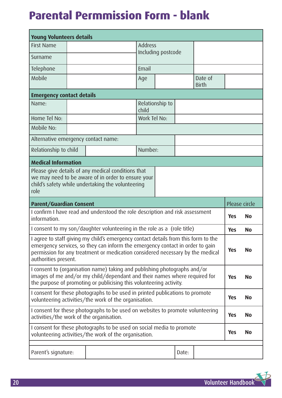## **Parental Permmission Form - blank**

| <b>Young Volunteers details</b>     |                                                                                                                                                                                                                                                       |                                |  |  |  |               |           |
|-------------------------------------|-------------------------------------------------------------------------------------------------------------------------------------------------------------------------------------------------------------------------------------------------------|--------------------------------|--|--|--|---------------|-----------|
| <b>First Name</b>                   |                                                                                                                                                                                                                                                       | <b>Address</b>                 |  |  |  |               |           |
| Surname                             |                                                                                                                                                                                                                                                       | Including postcode             |  |  |  |               |           |
| Telephone                           |                                                                                                                                                                                                                                                       | Email                          |  |  |  |               |           |
| Mobile                              |                                                                                                                                                                                                                                                       | Date of<br>Age<br><b>Birth</b> |  |  |  |               |           |
| <b>Emergency contact details</b>    |                                                                                                                                                                                                                                                       |                                |  |  |  |               |           |
| Name:                               |                                                                                                                                                                                                                                                       | Relationship to<br>child       |  |  |  |               |           |
| Home Tel No:                        |                                                                                                                                                                                                                                                       | Work Tel No:                   |  |  |  |               |           |
| Mobile No:                          |                                                                                                                                                                                                                                                       |                                |  |  |  |               |           |
| Alternative emergency contact name: |                                                                                                                                                                                                                                                       |                                |  |  |  |               |           |
| Relationship to child               |                                                                                                                                                                                                                                                       | Number:                        |  |  |  |               |           |
| <b>Medical Information</b>          |                                                                                                                                                                                                                                                       |                                |  |  |  |               |           |
| role                                | Please give details of any medical conditions that<br>we may need to be aware of in order to ensure your<br>child's safety while undertaking the volunteering                                                                                         |                                |  |  |  |               |           |
|                                     |                                                                                                                                                                                                                                                       |                                |  |  |  |               |           |
| <b>Parent/Guardian Consent</b>      |                                                                                                                                                                                                                                                       |                                |  |  |  | Please circle |           |
| information.                        | I confirm I have read and understood the role description and risk assessment                                                                                                                                                                         |                                |  |  |  | <b>Yes</b>    | <b>No</b> |
|                                     | I consent to my son/daughter volunteering in the role as a (role title)                                                                                                                                                                               |                                |  |  |  | <b>Yes</b>    | <b>No</b> |
| authorities present.                | I agree to staff giving my child's emergency contact details from this form to the<br>emergency services, so they can inform the emergency contact in order to gain<br>permission for any treatment or medication considered necessary by the medical |                                |  |  |  | <b>Yes</b>    | <b>No</b> |
|                                     | I consent to (organisation name) taking and publishing photographs and/or<br>images of me and/or my child/dependant and their names where required for<br>the purpose of promoting or publicising this volunteering activity.                         |                                |  |  |  | <b>Yes</b>    | <b>No</b> |
|                                     | I consent for these photographs to be used in printed publications to promote<br>volunteering activities/the work of the organisation.                                                                                                                |                                |  |  |  | <b>Yes</b>    | <b>No</b> |
|                                     | I consent for these photographs to be used on websites to promote volunteering<br>activities/the work of the organisation.                                                                                                                            |                                |  |  |  | <b>Yes</b>    | <b>No</b> |
|                                     | I consent for these photographs to be used on social media to promote<br>volunteering activities/the work of the organisation.                                                                                                                        |                                |  |  |  | <b>Yes</b>    | <b>No</b> |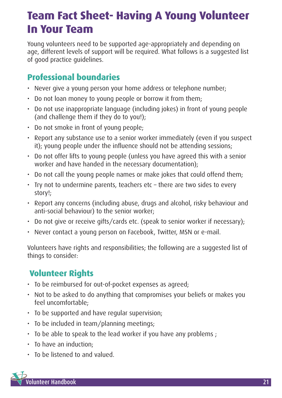## **Team Fact Sheet- Having A Young Volunteer In Your Team**

Young volunteers need to be supported age-appropriately and depending on age, different levels of support will be required. What follows is a suggested list of good practice guidelines.

### **Professional boundaries**

- Never give a young person your home address or telephone number;
- Do not loan money to young people or borrow it from them;
- Do not use inappropriate language (including jokes) in front of young people (and challenge them if they do to you!);
- Do not smoke in front of young people;
- Report any substance use to a senior worker immediately (even if you suspect it); young people under the influence should not be attending sessions;
- Do not offer lifts to young people (unless you have agreed this with a senior worker and have handed in the necessary documentation);
- Do not call the young people names or make jokes that could offend them;
- Try not to undermine parents, teachers etc there are two sides to every story!;
- Report any concerns (including abuse, drugs and alcohol, risky behaviour and anti-social behaviour) to the senior worker;
- Do not give or receive gifts/cards etc. (speak to senior worker if necessary);
- Never contact a young person on Facebook, Twitter, MSN or e-mail.

Volunteers have rights and responsibilities; the following are a suggested list of things to consider:

## **Volunteer Rights**

- To be reimbursed for out-of-pocket expenses as agreed;
- Not to be asked to do anything that compromises your beliefs or makes you feel uncomfortable;
- To be supported and have regular supervision;
- To be included in team/planning meetings;
- To be able to speak to the lead worker if you have any problems ;
- To have an induction;
- To be listened to and valued.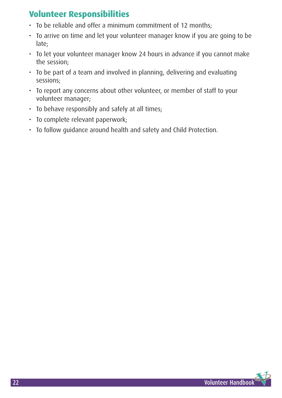### **Volunteer Responsibilities**

- To be reliable and offer a minimum commitment of 12 months;
- To arrive on time and let your volunteer manager know if you are going to be late;
- To let your volunteer manager know 24 hours in advance if you cannot make the session;
- To be part of a team and involved in planning, delivering and evaluating sessions;
- To report any concerns about other volunteer, or member of staff to your volunteer manager;
- To behave responsibly and safely at all times;
- To complete relevant paperwork;
- To follow guidance around health and safety and Child Protection.

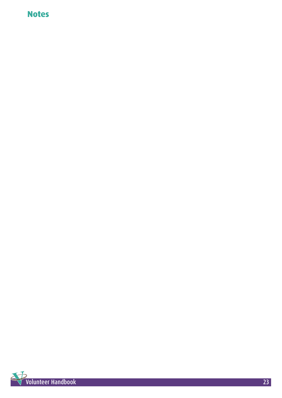### **Notes**